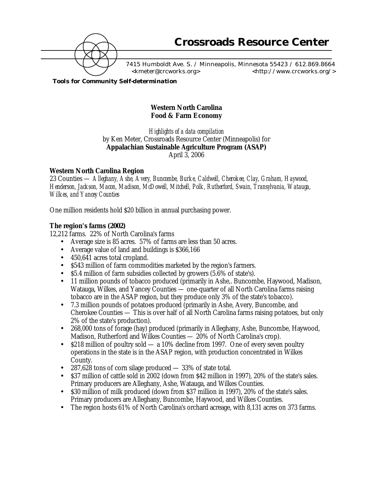

7415 Humboldt Ave. S. / Minneapolis, Minnesota 55423 / 612.869.8664 <kmeter@crcworks.org> <http://www.crcworks.org/>

*Tools for Community Self-determination*

## **Western North Carolina Food & Farm Economy**

*Highlights of a data compilation* by Ken Meter, Crossroads Resource Center (Minneapolis) for **Appalachian Sustainable Agriculture Program (ASAP)** April 3, 2006

## **Western North Carolina Region**

23 Counties — *Alleghany, Ashe, Avery, Buncombe, Burke, Caldwell, Cherokee, Clay, Graham, Haywood, Henderson, Jackson, Macon, Madison, McDowell, Mitchell, Polk, Rutherford, Swain, Transylvania, Watauga, Wilkes, and Yancey Counties*

One million residents hold \$20 billion in annual purchasing power.

## **The region's farms (2002)**

12,212 farms. 22% of North Carolina's farms

- Average size is 85 acres. 57% of farms are less than 50 acres.
- Average value of land and buildings is \$366,166
- 450,641 acres total cropland.
- \$543 million of farm commodities marketed by the region's farmers.
- \$5.4 million of farm subsidies collected by growers (5.6% of state's).
- 11 million pounds of tobacco produced (primarily in Ashe,. Buncombe, Haywood, Madison, Watauga, Wilkes, and Yancey Counties — one-quarter of all North Carolina farms raising tobacco are in the ASAP region, but they produce only 3% of the state's tobacco).
- 7.3 million pounds of potatoes produced (primarily in Ashe, Avery, Buncombe, and Cherokee Counties — This is over half of all North Carolina farms raising potatoes, but only 2% of the state's production).
- 268,000 tons of forage (hay) produced (primarily in Alleghany, Ashe, Buncombe, Haywood, Madison, Rutherford and Wilkes Counties — 20% of North Carolina's crop).
- \$218 million of poultry sold a 10% decline from 1997. One of every seven poultry operations in the state is in the ASAP region, with production concentrated in Wilkes County.
- 287,628 tons of corn silage produced 33% of state total.
- \$37 million of cattle sold in 2002 (down from \$42 million in 1997), 20% of the state's sales. Primary producers are Alleghany, Ashe, Watauga, and Wilkes Counties.
- \$30 million of milk produced (down from \$37 million in 1997), 20% of the state's sales. Primary producers are Alleghany, Buncombe, Haywood, and Wilkes Counties.
- The region hosts 61% of North Carolina's orchard acreage, with 8,131 acres on 373 farms.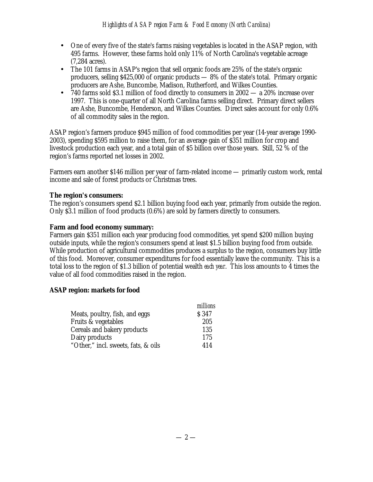- One of every five of the state's farms raising vegetables is located in the ASAP region, with 495 farms. However, these farms hold only 11% of North Carolina's vegetable acreage (7,284 acres).
- The 101 farms in ASAP's region that sell organic foods are 25% of the state's organic producers, selling \$425,000 of organic products — 8% of the state's total. Primary organic producers are Ashe, Buncombe, Madison, Rutherford, and Wilkes Counties.
- 740 farms sold \$3.1 million of food directly to consumers in 2002 a 20% increase over 1997. This is one-quarter of all North Carolina farms selling direct. Primary direct sellers are Ashe, Buncombe, Henderson, and Wilkes Counties. Direct sales account for only 0.6% of all commodity sales in the region.

ASAP region's farmers produce \$945 million of food commodities per year (14-year average 1990- 2003), spending \$595 million to raise them, for an average gain of \$351 million for crop and livestock production each year, and a total gain of \$5 billion over those years. Still, 52 % of the region's farms reported net losses in 2002.

Farmers earn another \$146 million per year of farm-related income — primarily custom work, rental income and sale of forest products or Christmas trees.

## **The region's consumers:**

The region's consumers spend \$2.1 billion buying food each year, primarily from outside the region. Only \$3.1 million of food products (0.6%) are sold by farmers directly to consumers.

## **Farm and food economy summary:**

Farmers gain \$351 million each year producing food commodities, yet spend \$200 million buying outside inputs, while the region's consumers spend at least \$1.5 billion buying food from outside. While production of agricultural commodities produces a surplus to the region, consumers buy little of this food. Moreover, consumer expenditures for food essentially leave the community. This is a total loss to the region of \$1.3 billion of potential wealth *each year*. This loss amounts to 4 times the value of all food commodities raised in the region.

## **ASAP region: markets for food**

|                                     | millions |
|-------------------------------------|----------|
| Meats, poultry, fish, and eggs      | S 347    |
| Fruits & vegetables                 | 205      |
| Cereals and bakery products         | 135      |
| Dairy products                      | 175      |
| "Other," incl. sweets, fats, & oils | 414      |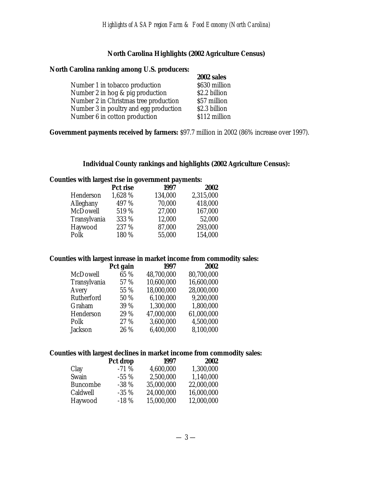## **North Carolina Highlights (2002 Agriculture Census)**

#### **North Carolina ranking among U.S. producers:**

| Caronna ranning among C.s. productis.  |               |
|----------------------------------------|---------------|
|                                        | 2002 sales    |
| Number 1 in tobacco production         | \$630 million |
| Number 2 in hog & pig production       | \$2.2 billion |
| Number 2 in Christmas tree production  | \$57 million  |
| Number 3 in poultry and egg production | \$2.3 billion |
| Number 6 in cotton production          | \$112 million |
|                                        |               |

**Government payments received by farmers:** \$97.7 million in 2002 (86% increase over 1997).

## **Individual County rankings and highlights (2002 Agriculture Census):**

## **Counties with largest rise in government payments:**

|              | Pct rise | 1997    | 2002      |
|--------------|----------|---------|-----------|
| Henderson    | 1,628 %  | 134,000 | 2,315,000 |
| Alleghany    | 497 %    | 70,000  | 418,000   |
| McDowell     | 519 %    | 27,000  | 167,000   |
| Transylvania | 333 %    | 12,000  | 52,000    |
| Haywood      | 237 %    | 87,000  | 293,000   |
| Polk         | 180 %    | 55,000  | 154,000   |

## **Counties with largest inrease in market income from commodity sales:**

|              | Pct gain | 1997       | 2002       |
|--------------|----------|------------|------------|
| McDowell     | 65 %     | 48,700,000 | 80,700,000 |
| Transylvania | 57 %     | 10,600,000 | 16,600,000 |
| Avery        | 55 %     | 18,000,000 | 28,000,000 |
| Rutherford   | 50 %     | 6,100,000  | 9,200,000  |
| Graham       | 39 %     | 1,300,000  | 1,800,000  |
| Henderson    | 29 %     | 47,000,000 | 61,000,000 |
| Polk         | 27 %     | 3,600,000  | 4,500,000  |
| Jackson      | 26 %     | 6,400,000  | 8,100,000  |

## **Counties with largest declines in market income from commodity sales:**

|                 | Pct drop | 1997       | 2002       |
|-----------------|----------|------------|------------|
| Clay            | $-71%$   | 4,600,000  | 1,300,000  |
| Swain           | $-55\%$  | 2,500,000  | 1,140,000  |
| <b>Buncombe</b> | $-38%$   | 35,000,000 | 22,000,000 |
| Caldwell        | $-35\%$  | 24,000,000 | 16,000,000 |
| Haywood         | $-18%$   | 15,000,000 | 12,000,000 |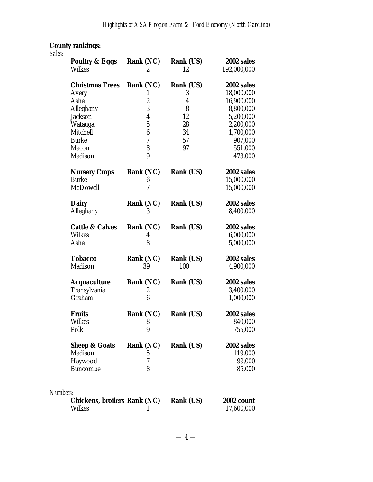## **County rankings:**

| Sales:   |                              |                  |                  |                   |
|----------|------------------------------|------------------|------------------|-------------------|
|          | <b>Poultry &amp; Eggs</b>    | Rank (NC)        | Rank (US)        | 2002 sales        |
|          | <b>Wilkes</b>                | 2                | 12               | 192,000,000       |
|          | <b>Christmas Trees</b>       | Rank (NC)        | Rank (US)        | 2002 sales        |
|          | Avery                        | 1                | 3                | 18,000,000        |
|          | Ashe                         | $\overline{c}$   | $\overline{4}$   | 16,900,000        |
|          | Alleghany                    | 3                | 8                | 8,800,000         |
|          | Jackson                      | $\overline{4}$   | 12               | 5,200,000         |
|          | Watauga                      | $\overline{5}$   | 28               | 2,200,000         |
|          | Mitchell                     | $\boldsymbol{6}$ | 34               | 1,700,000         |
|          | <b>Burke</b>                 | $\rm 7$          | 57               | 907,000           |
|          | Macon                        | 8<br>9           | 97               | 551,000           |
|          | Madison                      |                  |                  | 473,000           |
|          | <b>Nursery Crops</b>         | Rank (NC)        | <b>Rank (US)</b> | 2002 sales        |
|          | <b>Burke</b>                 | 6                |                  | 15,000,000        |
|          | McDowell                     | 7                |                  | 15,000,000        |
|          | <b>Dairy</b>                 | Rank (NC)        | Rank (US)        | 2002 sales        |
|          | Alleghany                    | 3                |                  | 8,400,000         |
|          | <b>Cattle &amp; Calves</b>   | Rank (NC)        | Rank (US)        | 2002 sales        |
|          | <b>Wilkes</b>                | 4                |                  | 6,000,000         |
|          | Ashe                         | 8                |                  | 5,000,000         |
|          | <b>Tobacco</b>               | Rank (NC)        | <b>Rank (US)</b> | 2002 sales        |
|          | Madison                      | 39               | 100              | 4,900,000         |
|          | <b>Acquaculture</b>          | Rank (NC)        | Rank (US)        | 2002 sales        |
|          | Transylvania                 | $\boldsymbol{2}$ |                  | 3,400,000         |
|          | Graham                       | $\overline{6}$   |                  | 1,000,000         |
|          | <b>Fruits</b>                | Rank (NC)        | Rank (US)        | 2002 sales        |
|          | <b>Wilkes</b>                | 8                |                  | 840,000           |
|          | Polk                         | 9                |                  | 755,000           |
|          | <b>Sheep &amp; Goats</b>     | Rank (NC)        | Rank (US)        | 2002 sales        |
|          | Madison                      | 5                |                  | 119,000           |
|          | Haywood                      | 7                |                  | 99,000            |
|          | Buncombe                     | 8                |                  | 85,000            |
| Numbers: |                              |                  |                  |                   |
|          | Chickens, broilers Rank (NC) |                  | Rank (US)        | <b>2002 count</b> |
|          | Wilkes                       | I                |                  | 17,600,000        |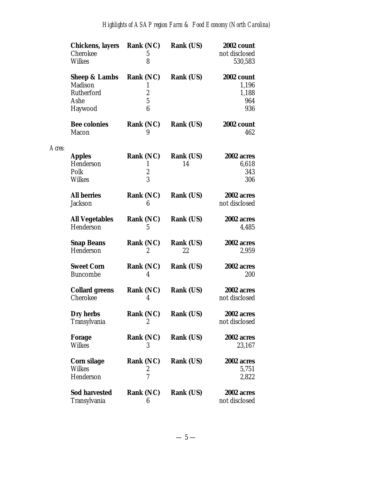|        | <b>Chickens, layers</b><br>Cherokee<br><b>Wilkes</b>      | Rank (NC)<br>5<br>8                                                   | Rank (US)              | 2002 count<br>not disclosed<br>530,583            |
|--------|-----------------------------------------------------------|-----------------------------------------------------------------------|------------------------|---------------------------------------------------|
|        | Sheep & Lambs<br>Madison<br>Rutherford<br>Ashe<br>Haywood | Rank (NC)<br>1<br>$\overline{c}$<br>$\overline{5}$<br>$6\phantom{1}6$ | <b>Rank (US)</b>       | <b>2002 count</b><br>1,196<br>1,188<br>964<br>936 |
|        | <b>Bee colonies</b><br>Macon                              | Rank (NC)<br>9                                                        | Rank (US)              | <b>2002 count</b><br>462                          |
| Acres: | <b>Apples</b><br>Henderson<br>Polk<br><b>Wilkes</b>       | Rank (NC)<br>1<br>$\overline{c}$<br>3                                 | <b>Rank (US)</b><br>14 | 2002 acres<br>6,618<br>343<br>306                 |
|        | <b>All berries</b><br>Jackson                             | Rank (NC)<br>6                                                        | Rank (US)              | 2002 acres<br>not disclosed                       |
|        | <b>All Vegetables</b><br>Henderson                        | Rank (NC)<br>5                                                        | Rank (US)              | 2002 acres<br>4,485                               |
|        | <b>Snap Beans</b><br>Henderson                            | Rank (NC)<br>2                                                        | <b>Rank (US)</b><br>22 | 2002 acres<br>2,959                               |
|        | <b>Sweet Corn</b><br>Buncombe                             | Rank (NC)<br>4                                                        | <b>Rank (US)</b>       | 2002 acres<br>200                                 |
|        | <b>Collard greens</b><br>Cherokee                         | Rank (NC)<br>4                                                        | Rank (US)              | 2002 acres<br>not disclosed                       |
|        | Dry herbs<br>Transylvania                                 | Rank (NC)<br>2                                                        | Rank (US)              | 2002 acres<br>not disclosed                       |
|        | Forage<br><b>Wilkes</b>                                   | Rank (NC)<br>3                                                        | Rank (US)              | 2002 acres<br>23,167                              |
|        | Corn silage<br><b>Wilkes</b><br>Henderson                 | Rank (NC)<br>2<br>7                                                   | Rank (US)              | 2002 acres<br>5,751<br>2,822                      |
|        | <b>Sod harvested</b><br>Transylvania                      | Rank (NC)<br>6                                                        | Rank (US)              | 2002 acres<br>not disclosed                       |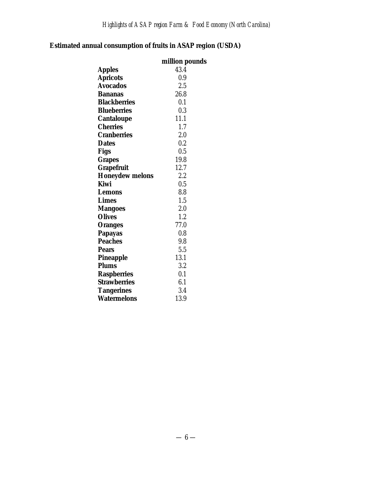# **Estimated annual consumption of fruits in ASAP region (USDA)**

|                        | million pounds |
|------------------------|----------------|
| Apples                 | 43.4           |
| <b>Apricots</b>        | 0.9            |
| <b>Avocados</b>        | 2.5            |
| Bananas                | 26.8           |
| <b>Blackberries</b>    | 0.1            |
| <b>Blueberries</b>     | 0.3            |
| Cantaloupe             | 11.1           |
| <b>Cherries</b>        | 1.7            |
| <b>Cranberries</b>     | 2.0            |
| <b>Dates</b>           | 0.2            |
| <b>Figs</b>            | 0.5            |
| <b>Grapes</b>          | 19.8           |
| <b>Grapefruit</b>      | 12.7           |
| <b>Honeydew melons</b> | 2.2            |
| Kiwi                   | 0.5            |
| Lemons                 | 8.8            |
| <b>Limes</b>           | 1.5            |
| <b>Mangoes</b>         | 2.0            |
| <b>Olives</b>          | 1.2            |
| <b>Oranges</b>         | 77.0           |
| Papayas                | 0.8            |
| <b>Peaches</b>         | 9.8            |
| <b>Pears</b>           | 5.5            |
| Pineapple              | 13.1           |
| <b>Plums</b>           | 3.2            |
| <b>Raspberries</b>     | 0.1            |
| <b>Strawberries</b>    | 6.1            |
| Tangerines             | 3.4            |
| Watermelons            | 13.9           |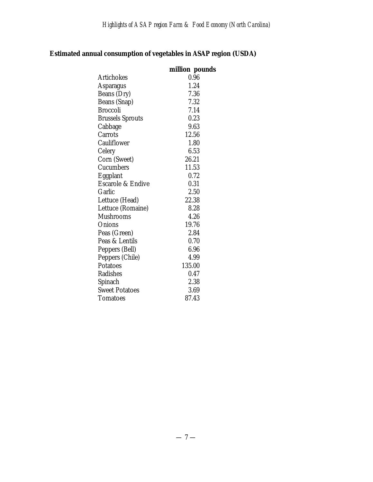## **Estimated annual consumption of vegetables in ASAP region (USDA)**

|                         | million pounds |
|-------------------------|----------------|
| <b>Artichokes</b>       | 0.96           |
| Asparagus               | 1.24           |
| Beans (Dry)             | 7.36           |
| Beans (Snap)            | 7.32           |
| Broccoli                | 7.14           |
| <b>Brussels Sprouts</b> | 0.23           |
| Cabbage                 | 9.63           |
| Carrots                 | 12.56          |
| Cauliflower             | 1.80           |
| Celery                  | 6.53           |
| Corn (Sweet)            | 26.21          |
| Cucumbers               | 11.53          |
| Eggplant                | 0.72           |
| Escarole & Endive       | 0.31           |
| Garlic                  | 2.50           |
| Lettuce (Head)          | 22.38          |
| Lettuce (Romaine)       | 8.28           |
| Mushrooms               | 4.26           |
| Onions                  | 19.76          |
| Peas (Green)            | 2.84           |
| Peas & Lentils          | 0.70           |
| Peppers (Bell)          | 6.96           |
| Peppers (Chile)         | 4.99           |
| Potatoes                | 135.00         |
| Radishes                | 0.47           |
| Spinach                 | 2.38           |
| <b>Sweet Potatoes</b>   | 3.69           |
| Tomatoes                | 87.43          |